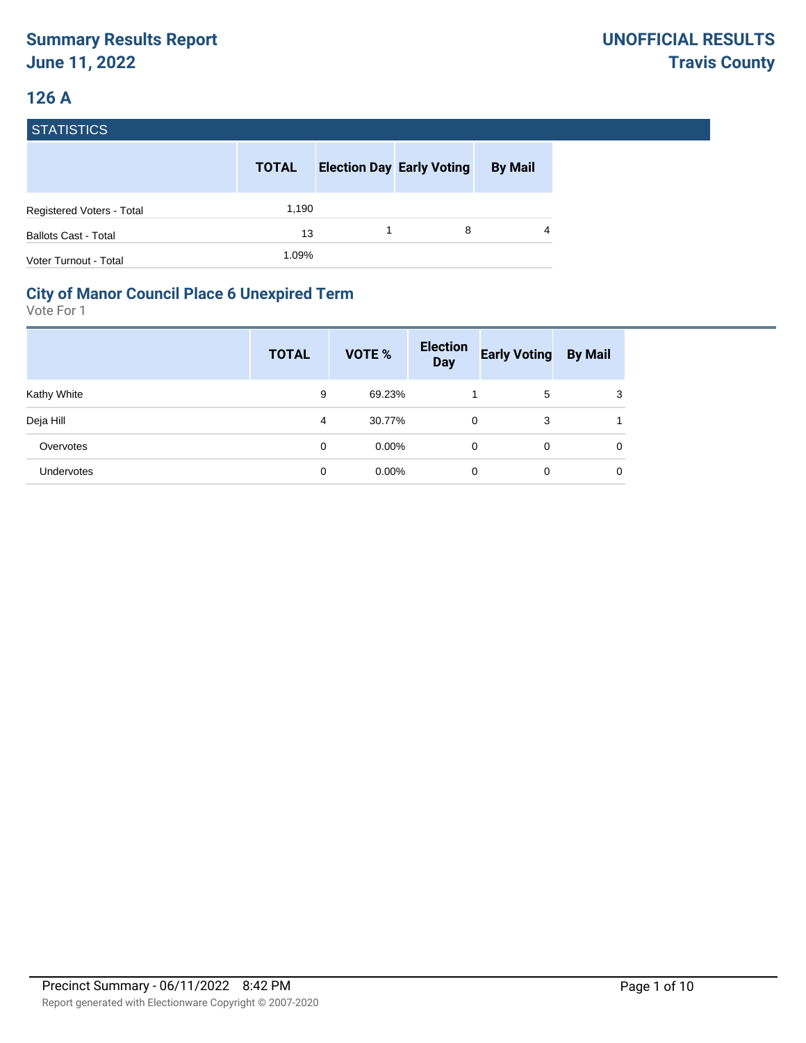# **126 A**

| <b>STATISTICS</b>                |              |                                  |                |
|----------------------------------|--------------|----------------------------------|----------------|
|                                  | <b>TOTAL</b> | <b>Election Day Early Voting</b> | <b>By Mail</b> |
| <b>Registered Voters - Total</b> | 1,190        |                                  |                |
| <b>Ballots Cast - Total</b>      | 13           | 8                                | 4              |
| Voter Turnout - Total            | 1.09%        |                                  |                |

#### **City of Manor Council Place 6 Unexpired Term**

|                   | <b>TOTAL</b> | VOTE %   | <b>Election</b><br><b>Day</b> | <b>Early Voting</b> | <b>By Mail</b> |
|-------------------|--------------|----------|-------------------------------|---------------------|----------------|
| Kathy White       | 9            | 69.23%   |                               | 5                   | 3              |
| Deja Hill         | 4            | 30.77%   | 0                             | 3                   |                |
| Overvotes         | 0            | $0.00\%$ | 0                             | 0                   | 0              |
| <b>Undervotes</b> | 0            | $0.00\%$ | 0                             | 0                   | 0              |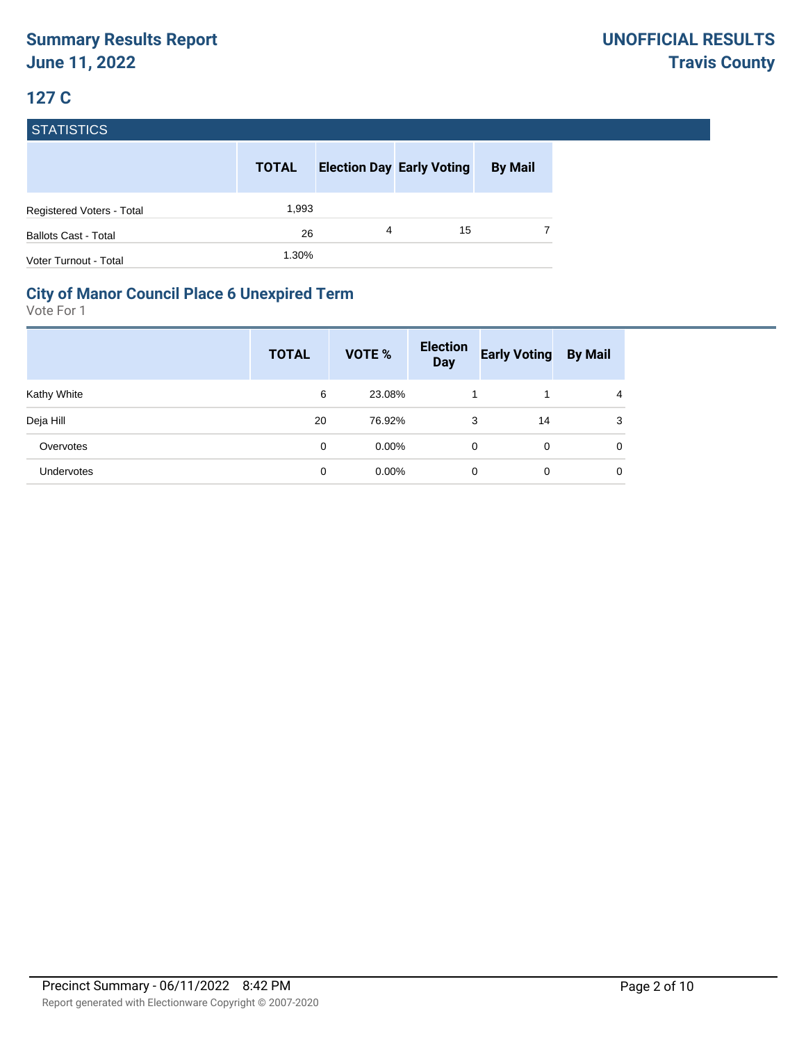| <b>STATISTICS</b>                |              |   |                                  |                |
|----------------------------------|--------------|---|----------------------------------|----------------|
|                                  | <b>TOTAL</b> |   | <b>Election Day Early Voting</b> | <b>By Mail</b> |
| <b>Registered Voters - Total</b> | 1,993        |   |                                  |                |
| <b>Ballots Cast - Total</b>      | 26           | 4 | 15                               |                |
| Voter Turnout - Total            | 1.30%        |   |                                  |                |

#### **City of Manor Council Place 6 Unexpired Term**

|                   | <b>TOTAL</b> | VOTE %   | <b>Election</b><br><b>Day</b> | <b>Early Voting</b> | <b>By Mail</b> |
|-------------------|--------------|----------|-------------------------------|---------------------|----------------|
| Kathy White       | 6            | 23.08%   |                               |                     | $\overline{4}$ |
| Deja Hill         | 20           | 76.92%   | 3                             | 14                  | 3              |
| Overvotes         | 0            | $0.00\%$ | 0                             | 0                   | $\mathbf 0$    |
| <b>Undervotes</b> | 0            | $0.00\%$ | 0                             | 0                   | 0              |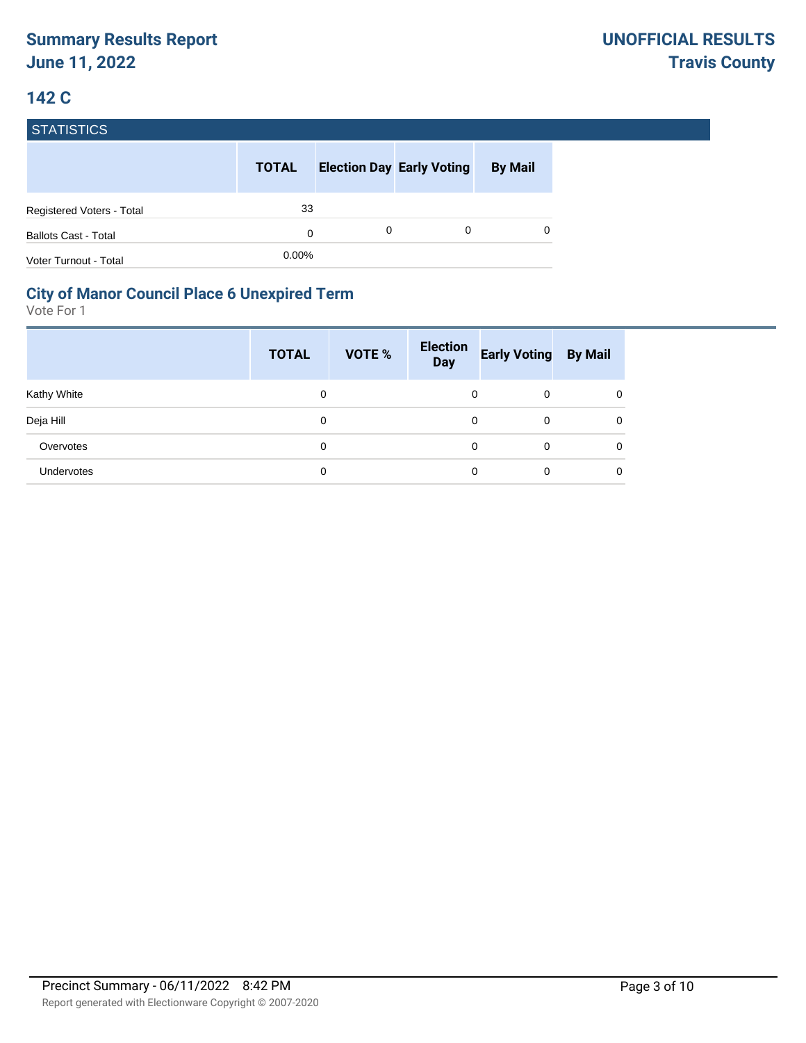| <b>STATISTICS</b>                |              |   |                                  |                |
|----------------------------------|--------------|---|----------------------------------|----------------|
|                                  | <b>TOTAL</b> |   | <b>Election Day Early Voting</b> | <b>By Mail</b> |
| <b>Registered Voters - Total</b> | 33           |   |                                  |                |
| <b>Ballots Cast - Total</b>      | $\Omega$     | 0 | 0                                | 0              |
| Voter Turnout - Total            | 0.00%        |   |                                  |                |

#### **City of Manor Council Place 6 Unexpired Term**

|                   | <b>TOTAL</b> | VOTE % | <b>Election</b><br><b>Day</b> | <b>Early Voting By Mail</b> |   |
|-------------------|--------------|--------|-------------------------------|-----------------------------|---|
| Kathy White       | 0            |        | 0                             | 0                           | 0 |
| Deja Hill         | 0            |        | 0                             | 0                           | 0 |
| Overvotes         | 0            |        | 0                             | 0                           | 0 |
| <b>Undervotes</b> | 0            |        | 0                             | 0                           | 0 |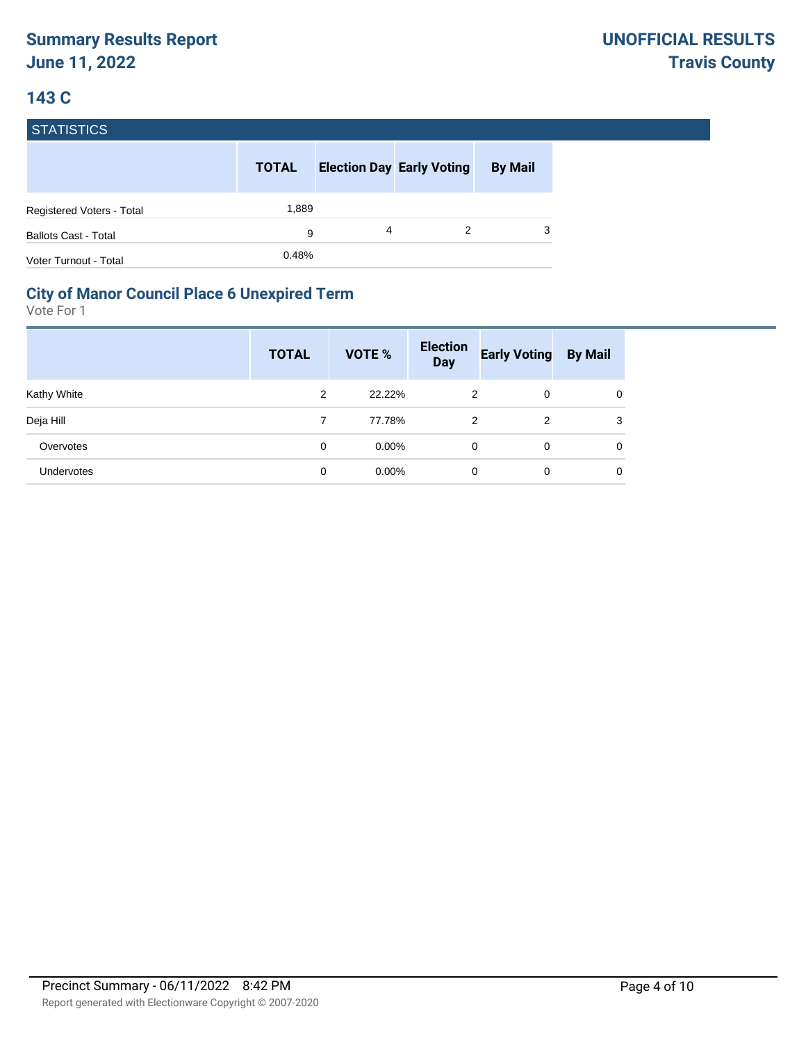| <b>STATISTICS</b>                |              |   |                                  |                |
|----------------------------------|--------------|---|----------------------------------|----------------|
|                                  | <b>TOTAL</b> |   | <b>Election Day Early Voting</b> | <b>By Mail</b> |
| <b>Registered Voters - Total</b> | 1,889        |   |                                  |                |
| <b>Ballots Cast - Total</b>      | 9            | 4 | 2                                | 3              |
| Voter Turnout - Total            | 0.48%        |   |                                  |                |

#### **City of Manor Council Place 6 Unexpired Term**

|             | <b>TOTAL</b> | VOTE %   | <b>Election</b><br><b>Day</b> | <b>Early Voting</b> | <b>By Mail</b> |
|-------------|--------------|----------|-------------------------------|---------------------|----------------|
| Kathy White | 2            | 22.22%   | 2                             | 0                   | 0              |
| Deja Hill   | 7            | 77.78%   | 2                             | 2                   | 3              |
| Overvotes   | 0            | $0.00\%$ | 0                             | 0                   | $\mathbf 0$    |
| Undervotes  | 0            | $0.00\%$ | 0                             | 0                   | 0              |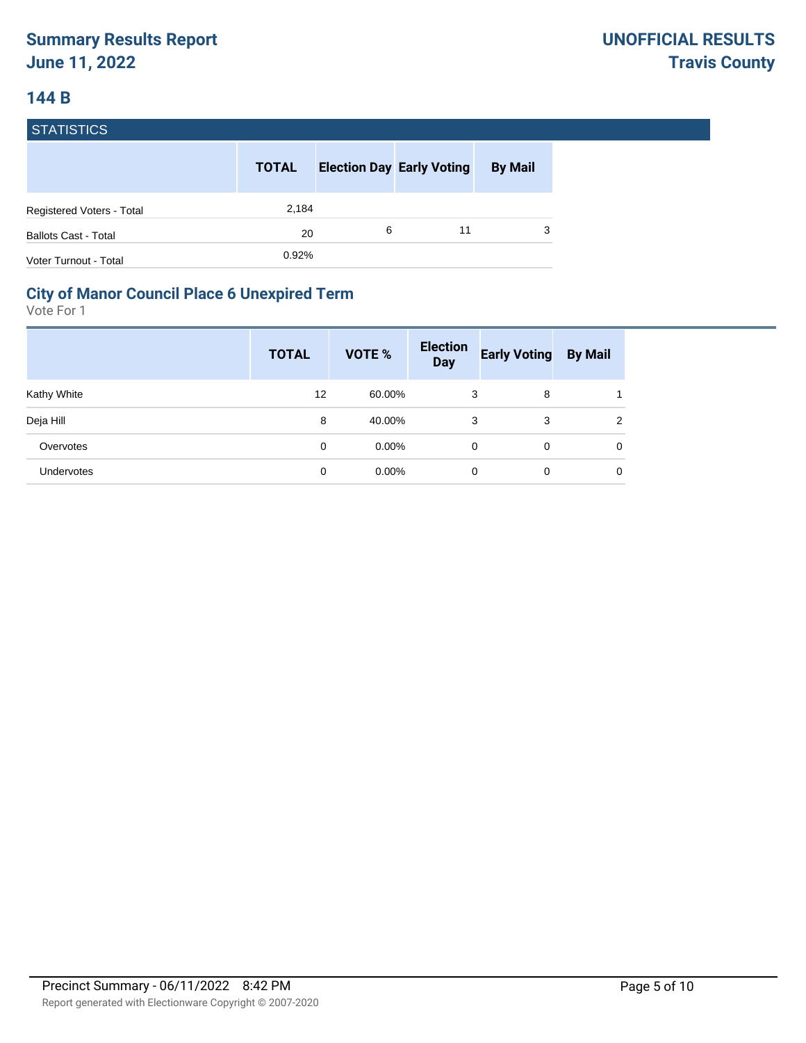#### **144 B**

| <b>STATISTICS</b>                |              |   |                                  |                |
|----------------------------------|--------------|---|----------------------------------|----------------|
|                                  | <b>TOTAL</b> |   | <b>Election Day Early Voting</b> | <b>By Mail</b> |
| <b>Registered Voters - Total</b> | 2,184        |   |                                  |                |
| <b>Ballots Cast - Total</b>      | 20           | 6 | 11                               | 3              |
| Voter Turnout - Total            | 0.92%        |   |                                  |                |

#### **City of Manor Council Place 6 Unexpired Term**

|                   | <b>TOTAL</b> | VOTE %   | <b>Election</b><br><b>Day</b> | <b>Early Voting</b> | <b>By Mail</b> |
|-------------------|--------------|----------|-------------------------------|---------------------|----------------|
| Kathy White       | 12           | 60.00%   | 3                             | 8                   |                |
| Deja Hill         | 8            | 40.00%   | 3                             | 3                   | 2              |
| Overvotes         | 0            | $0.00\%$ | 0                             | 0                   | $\mathbf 0$    |
| <b>Undervotes</b> | 0            | $0.00\%$ | 0                             | 0                   | $\mathbf 0$    |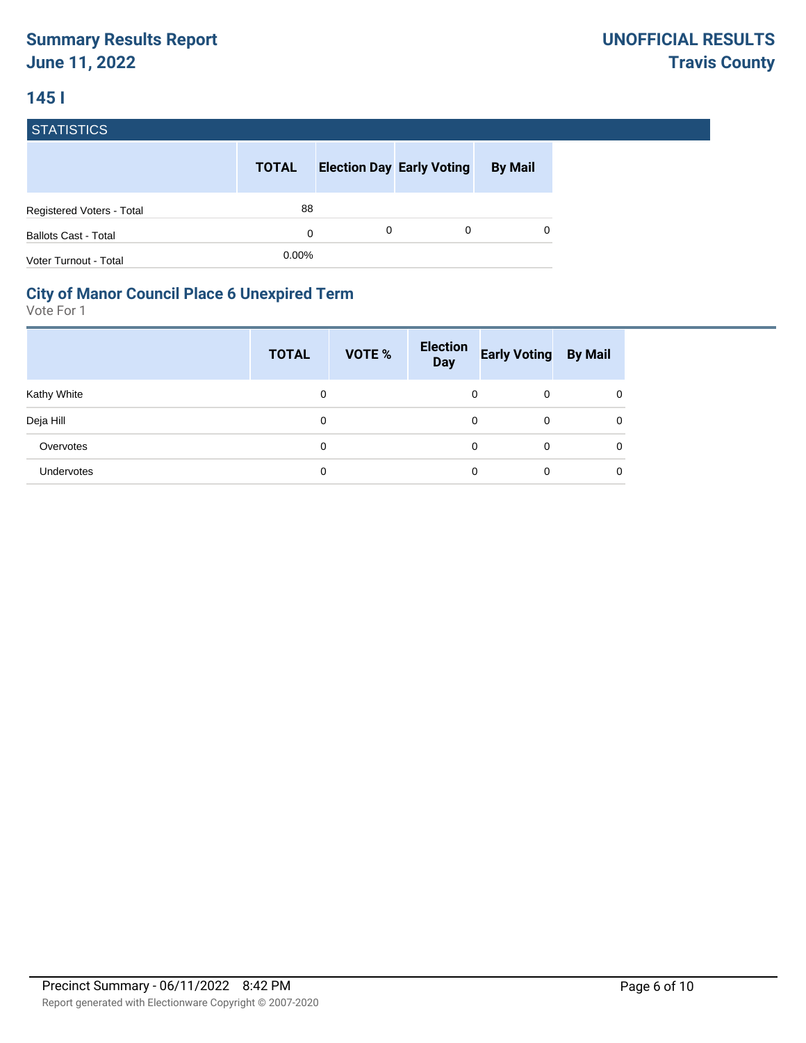### **145 I**

| <b>STATISTICS</b>           |              |   |                                  |                |
|-----------------------------|--------------|---|----------------------------------|----------------|
|                             | <b>TOTAL</b> |   | <b>Election Day Early Voting</b> | <b>By Mail</b> |
| Registered Voters - Total   | 88           |   |                                  |                |
| <b>Ballots Cast - Total</b> | $\Omega$     | 0 | 0                                |                |
| Voter Turnout - Total       | 0.00%        |   |                                  |                |

#### **City of Manor Council Place 6 Unexpired Term**

|                   | <b>TOTAL</b> | <b>VOTE %</b> | <b>Election</b><br><b>Day</b> | <b>Early Voting By Mail</b> |   |
|-------------------|--------------|---------------|-------------------------------|-----------------------------|---|
| Kathy White       | 0            |               | 0                             | 0                           | 0 |
| Deja Hill         | 0            |               | 0                             | 0                           | 0 |
| Overvotes         | 0            |               | 0                             | 0                           | 0 |
| <b>Undervotes</b> | 0            |               | 0                             | 0                           | 0 |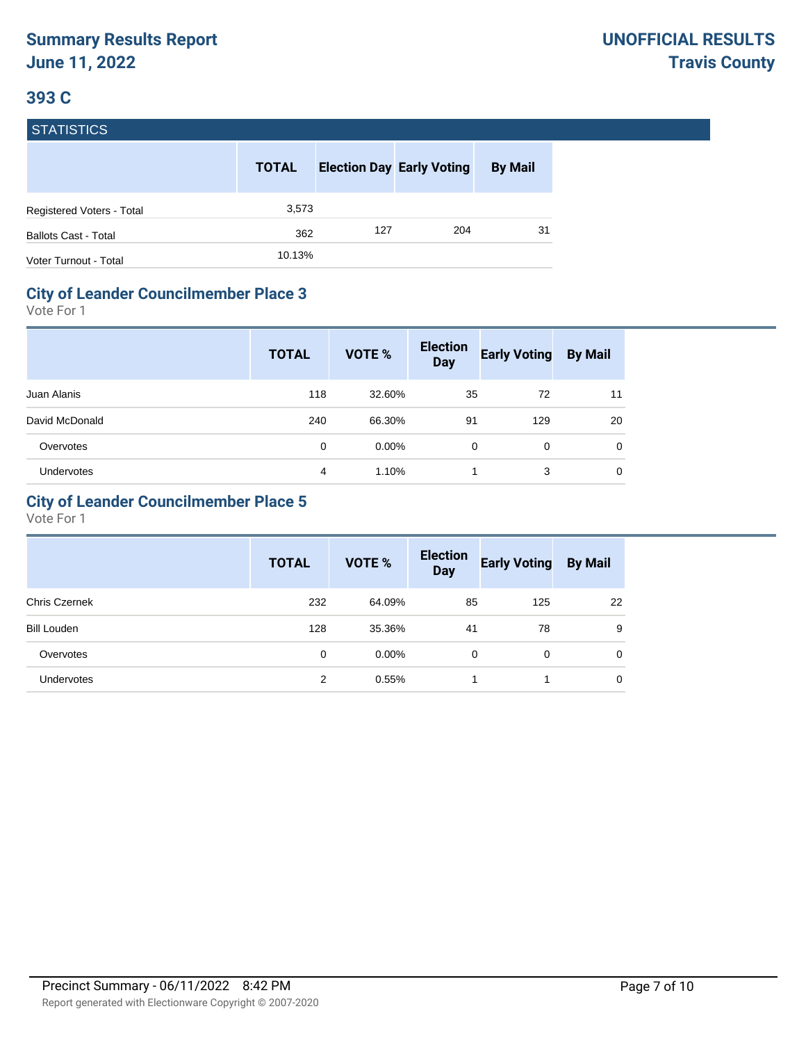|  | <b>STATISTICS</b> |
|--|-------------------|
|  |                   |
|  |                   |

|                             | <b>TOTAL</b> |     | <b>Election Day Early Voting</b> | <b>By Mail</b> |
|-----------------------------|--------------|-----|----------------------------------|----------------|
| Registered Voters - Total   | 3,573        |     |                                  |                |
| <b>Ballots Cast - Total</b> | 362          | 127 | 204                              | 31             |
| Voter Turnout - Total       | 10.13%       |     |                                  |                |

#### **City of Leander Councilmember Place 3**

Vote For 1

|                   | <b>TOTAL</b> | <b>VOTE %</b> | <b>Election</b><br><b>Day</b> | <b>Early Voting</b> | <b>By Mail</b> |
|-------------------|--------------|---------------|-------------------------------|---------------------|----------------|
| Juan Alanis       | 118          | 32.60%        | 35                            | 72                  | 11             |
| David McDonald    | 240          | 66.30%        | 91                            | 129                 | 20             |
| Overvotes         | 0            | $0.00\%$      | 0                             | 0                   | 0              |
| <b>Undervotes</b> | 4            | 1.10%         |                               | 3                   | 0              |

#### **City of Leander Councilmember Place 5**

|                      | <b>TOTAL</b> | <b>VOTE %</b> | <b>Election</b><br><b>Day</b> | <b>Early Voting</b> | <b>By Mail</b> |
|----------------------|--------------|---------------|-------------------------------|---------------------|----------------|
| <b>Chris Czernek</b> | 232          | 64.09%        | 85                            | 125                 | 22             |
| <b>Bill Louden</b>   | 128          | 35.36%        | 41                            | 78                  | 9              |
| Overvotes            | 0            | $0.00\%$      | 0                             | 0                   | $\mathbf 0$    |
| Undervotes           | 2            | 0.55%         |                               |                     | 0              |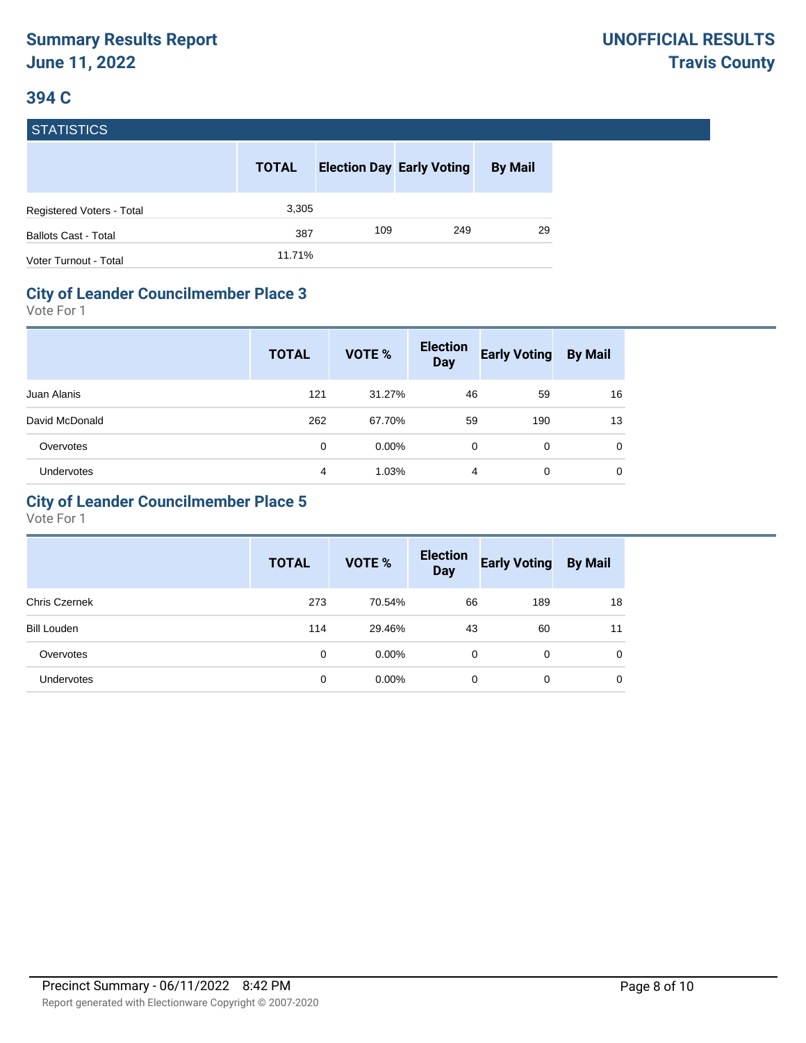| <b>STATISTICS</b>           |              |     |                                  |                |
|-----------------------------|--------------|-----|----------------------------------|----------------|
|                             | <b>TOTAL</b> |     | <b>Election Day Early Voting</b> | <b>By Mail</b> |
| Registered Voters - Total   | 3,305        |     |                                  |                |
| <b>Ballots Cast - Total</b> | 387          | 109 | 249                              | 29             |
| Voter Turnout - Total       | 11.71%       |     |                                  |                |

#### **City of Leander Councilmember Place 3**

Vote For 1

|                   | <b>TOTAL</b> | <b>VOTE %</b> | <b>Election</b><br><b>Day</b> | <b>Early Voting</b> | <b>By Mail</b> |
|-------------------|--------------|---------------|-------------------------------|---------------------|----------------|
| Juan Alanis       | 121          | 31.27%        | 46                            | 59                  | 16             |
| David McDonald    | 262          | 67.70%        | 59                            | 190                 | 13             |
| Overvotes         | 0            | $0.00\%$      | $\Omega$                      | 0                   | 0              |
| <b>Undervotes</b> | 4            | 1.03%         | 4                             | 0                   | 0              |

#### **City of Leander Councilmember Place 5**

|                      | <b>TOTAL</b> | <b>VOTE %</b> | <b>Election</b><br><b>Day</b> | <b>Early Voting</b> | <b>By Mail</b> |
|----------------------|--------------|---------------|-------------------------------|---------------------|----------------|
| <b>Chris Czernek</b> | 273          | 70.54%        | 66                            | 189                 | 18             |
| <b>Bill Louden</b>   | 114          | 29.46%        | 43                            | 60                  | 11             |
| Overvotes            | $\mathbf 0$  | $0.00\%$      | 0                             | 0                   | $\mathbf 0$    |
| <b>Undervotes</b>    | 0            | $0.00\%$      | 0                             | 0                   | 0              |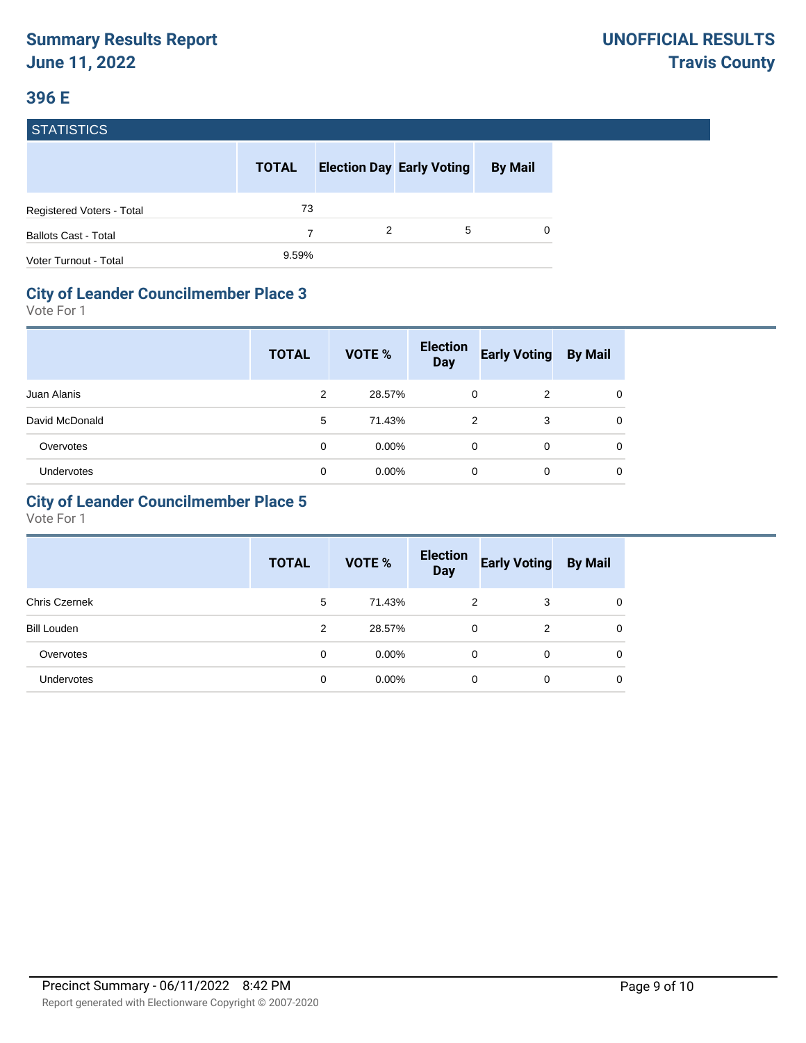#### **396 E**

#### **STATISTICS**

|                             | <b>TOTAL</b> |   | <b>Election Day Early Voting</b> | <b>By Mail</b> |
|-----------------------------|--------------|---|----------------------------------|----------------|
| Registered Voters - Total   | 73           |   |                                  |                |
| <b>Ballots Cast - Total</b> |              | 2 | 5                                | $\Omega$       |
| Voter Turnout - Total       | 9.59%        |   |                                  |                |

#### **City of Leander Councilmember Place 3**

Vote For 1

|                | <b>TOTAL</b>   | <b>VOTE %</b> | <b>Election</b><br><b>Day</b> | <b>Early Voting</b> | <b>By Mail</b> |
|----------------|----------------|---------------|-------------------------------|---------------------|----------------|
| Juan Alanis    | $\overline{2}$ | 28.57%        | $\Omega$                      | 2                   | 0              |
| David McDonald | 5              | 71.43%        | 2                             | 3                   | $\Omega$       |
| Overvotes      | 0              | $0.00\%$      | $\Omega$                      | $\Omega$            | $\Omega$       |
| Undervotes     | 0              | $0.00\%$      | 0                             | 0                   | $\Omega$       |

#### **City of Leander Councilmember Place 5**

|                      | <b>TOTAL</b> | <b>VOTE %</b> | <b>Election</b><br><b>Day</b> | <b>Early Voting</b> | <b>By Mail</b> |
|----------------------|--------------|---------------|-------------------------------|---------------------|----------------|
| <b>Chris Czernek</b> | 5            | 71.43%        | 2                             | 3                   | $\mathbf 0$    |
| <b>Bill Louden</b>   | 2            | 28.57%        | 0                             | 2                   | 0              |
| Overvotes            | 0            | $0.00\%$      | 0                             | 0                   | 0              |
| <b>Undervotes</b>    | 0            | $0.00\%$      | 0                             | 0                   | 0              |